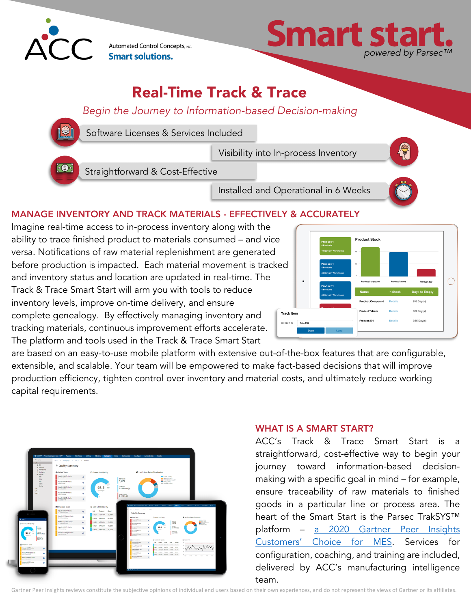

Automated Control Concepts, INC. **Smart solutions.** 



# Real-Time Track & Trace

### *Begin the Journey to Information-based Decision-making*



Software Licenses & Services Included

Visibility into In-process Inventory

Straightforward & Cost-Effective

Installed and Operational in 6 Weeks

#### MANAGE INVENTORY AND TRACK MATERIALS - EFFECTIVELY & ACCURATELY

Imagine real-time access to in-process inventory along with the ability to trace finished product to materials consumed – and vice versa. Notifications of raw material replenishment are generated before production is impacted. Each material movement is tracked and inventory status and location are updated in real-time. The Track & Trace Smart Start will arm you with tools to reduce inventory levels, improve on-time delivery, and ensure complete genealogy. By effectively managing inventory and tracking materials, continuous improvement efforts accelerate. The platform and tools used in the Track & Trace Smart Start



are based on an easy-to-use mobile platform with extensive out-of-the-box features that are configurable, extensible, and scalable. Your team will be empowered to make fact-based decisions that will improve production efficiency, tighten control over inventory and material costs, and ultimately reduce working capital requirements.



#### WHAT IS A SMART START?

ACC's Track & Trace Smart Start is a straightforward, cost-effective way to begin your journey toward information-based decisionmaking with a specific goal in mind – for example, ensure traceability of raw materials to finished goods in a particular line or process area. The heart of the Smart Start is the Parsec TrakSYS™ platform – a 2020 Gartner Peer Insights Customers' Choice for MES. Services for configuration, coaching, and training are included, delivered by ACC's manufacturing intelligence team.

Gartner Peer Insights reviews constitute the subjective opinions of individual end users based on their own experiences, and do not represent the views of Gartner or its affiliates.